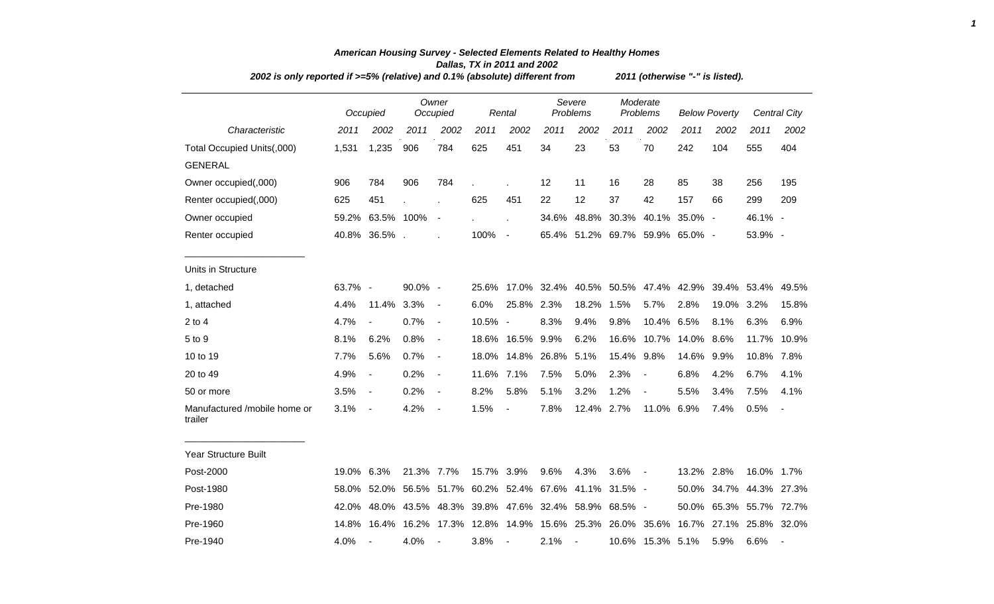| 2002 is only reported if >=5% (relative) and 0.1% (absolute) different from |         |                          |            |                          |                                                   |                          | 2011 (otherwise "-" is listed). |                          |       |                          |                                 |                      |                                                                         |              |  |
|-----------------------------------------------------------------------------|---------|--------------------------|------------|--------------------------|---------------------------------------------------|--------------------------|---------------------------------|--------------------------|-------|--------------------------|---------------------------------|----------------------|-------------------------------------------------------------------------|--------------|--|
|                                                                             |         | Occupied                 |            | Owner<br>Occupied        |                                                   | Rental                   |                                 | Severe<br>Problems       |       | Moderate<br>Problems     |                                 | <b>Below Poverty</b> |                                                                         | Central City |  |
| Characteristic                                                              | 2011    | 2002                     | 2011       | 2002                     | 2011                                              | 2002                     | 2011                            | 2002                     | 2011  | 2002                     | 2011                            | 2002                 | 2011                                                                    | 2002         |  |
| Total Occupied Units(,000)                                                  | 1,531   | 1,235                    | 906        | 784                      | 625                                               | 451                      | 34                              | 23                       | 53    | 70                       | 242                             | 104                  | 555                                                                     | 404          |  |
| <b>GENERAL</b>                                                              |         |                          |            |                          |                                                   |                          |                                 |                          |       |                          |                                 |                      |                                                                         |              |  |
| Owner occupied(,000)                                                        | 906     | 784                      | 906        | 784                      | $\mathbf{r}$                                      |                          | 12                              | 11                       | 16    | 28                       | 85                              | 38                   | 256                                                                     | 195          |  |
| Renter occupied(,000)                                                       | 625     | 451                      |            |                          | 625                                               | 451                      | 22                              | 12                       | 37    | 42                       | 157                             | 66                   | 299                                                                     | 209          |  |
| Owner occupied                                                              | 59.2%   | 63.5% 100%               |            | $\overline{\phantom{a}}$ |                                                   |                          |                                 |                          |       |                          | 34.6% 48.8% 30.3% 40.1% 35.0% - |                      | 46.1% -                                                                 |              |  |
| Renter occupied                                                             |         | 40.8% 36.5%.             |            |                          | 100%                                              | $\overline{\phantom{a}}$ |                                 |                          |       |                          | 65.4% 51.2% 69.7% 59.9% 65.0% - |                      | 53.9% -                                                                 |              |  |
| Units in Structure                                                          |         |                          |            |                          |                                                   |                          |                                 |                          |       |                          |                                 |                      |                                                                         |              |  |
| 1, detached                                                                 | 63.7% - |                          | $90.0\%$ - |                          |                                                   |                          |                                 |                          |       |                          |                                 |                      | 25.6% 17.0% 32.4% 40.5% 50.5% 47.4% 42.9% 39.4% 53.4%                   | 49.5%        |  |
| 1, attached                                                                 | 4.4%    | 11.4% 3.3%               |            | $\blacksquare$           | 6.0%                                              | 25.8% 2.3%               |                                 | 18.2%                    | 1.5%  | 5.7%                     | 2.8%                            | 19.0%                | 3.2%                                                                    | 15.8%        |  |
| 2 to 4                                                                      | 4.7%    | $\blacksquare$           | 0.7%       | $\blacksquare$           | 10.5% -                                           |                          | 8.3%                            | 9.4%                     | 9.8%  | 10.4%                    | 6.5%                            | 8.1%                 | 6.3%                                                                    | 6.9%         |  |
| 5 to 9                                                                      | 8.1%    | 6.2%                     | 0.8%       | $\blacksquare$           |                                                   | 18.6% 16.5% 9.9%         |                                 | 6.2%                     | 16.6% |                          | 10.7% 14.0%                     | $8.6\%$              | 11.7%                                                                   | 10.9%        |  |
| 10 to 19                                                                    | 7.7%    | 5.6%                     | 0.7%       | $\blacksquare$           | 18.0%                                             |                          | 14.8% 26.8%                     | 5.1%                     | 15.4% | 9.8%                     | 14.6%                           | $9.9\%$              | 10.8%                                                                   | 7.8%         |  |
| 20 to 49                                                                    | 4.9%    | $\frac{1}{2}$            | 0.2%       | $\blacksquare$           | 11.6% 7.1%                                        |                          | 7.5%                            | 5.0%                     | 2.3%  | $\overline{\phantom{a}}$ | 6.8%                            | 4.2%                 | 6.7%                                                                    | 4.1%         |  |
| 50 or more                                                                  | 3.5%    | $\overline{\phantom{a}}$ | 0.2%       | $\blacksquare$           | 8.2%                                              | 5.8%                     | 5.1%                            | 3.2%                     | 1.2%  | $\blacksquare$           | 5.5%                            | 3.4%                 | 7.5%                                                                    | 4.1%         |  |
| Manufactured /mobile home or<br>trailer                                     | 3.1%    | $\blacksquare$           | 4.2%       | $\overline{\phantom{a}}$ | 1.5%                                              | $\overline{\phantom{a}}$ | 7.8%                            | 12.4% 2.7%               |       | 11.0%                    | 6.9%                            | 7.4%                 | 0.5%                                                                    |              |  |
| Year Structure Built                                                        |         |                          |            |                          |                                                   |                          |                                 |                          |       |                          |                                 |                      |                                                                         |              |  |
| Post-2000                                                                   | 19.0%   | 6.3%                     | 21.3% 7.7% |                          | 15.7% 3.9%                                        |                          | 9.6%                            | 4.3%                     | 3.6%  | $\overline{\phantom{a}}$ | 13.2% 2.8%                      |                      | 16.0% 1.7%                                                              |              |  |
| Post-1980                                                                   | 58.0%   | 52.0%                    |            |                          | 56.5% 51.7% 60.2% 52.4% 67.6% 41.1% 31.5% -       |                          |                                 |                          |       |                          | 50.0%                           | 34.7%                | 44.3% 27.3%                                                             |              |  |
| Pre-1980                                                                    | 42.0%   |                          |            |                          | 48.0% 43.5% 48.3% 39.8% 47.6% 32.4% 58.9% 68.5% - |                          |                                 |                          |       |                          |                                 |                      | 50.0% 65.3% 55.7% 72.7%                                                 |              |  |
| Pre-1960                                                                    | 14.8%   | 16.4%                    |            |                          |                                                   |                          |                                 |                          |       |                          |                                 |                      | 16.2% 17.3% 12.8% 14.9% 15.6% 25.3% 26.0% 35.6% 16.7% 27.1% 25.8% 32.0% |              |  |
| Pre-1940                                                                    | 4.0%    |                          | 4.0%       | $\overline{\phantom{a}}$ | 3.8%                                              | $\blacksquare$           | 2.1%                            | $\overline{\phantom{a}}$ |       | 10.6% 15.3% 5.1%         |                                 | 5.9%                 | 6.6%                                                                    |              |  |

## *American Housing Survey - Selected Elements Related to Healthy Homes Dallas, TX in 2011 and 2002 2002 is only reported if >=5% (relative) and 0.1% (absolute) different from 2011 (otherwise "-" is listed).*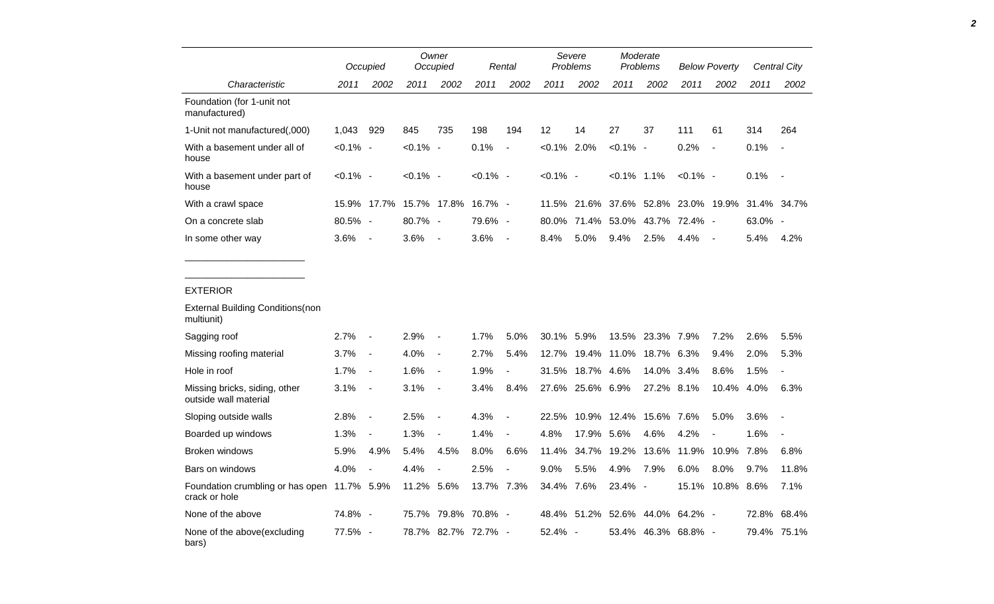|                                                              |             | Occupied                 | Owner<br>Occupied       |                          | Rental              |                          | Severe<br>Problems |            | Moderate<br>Problems |            | <b>Below Poverty</b>    |                          |         | Central City             |
|--------------------------------------------------------------|-------------|--------------------------|-------------------------|--------------------------|---------------------|--------------------------|--------------------|------------|----------------------|------------|-------------------------|--------------------------|---------|--------------------------|
| Characteristic                                               | 2011        | 2002                     | 2011                    | 2002                     | 2011                | 2002                     | 2011               | 2002       | 2011                 | 2002       | 2011                    | 2002                     | 2011    | 2002                     |
| Foundation (for 1-unit not<br>manufactured)                  |             |                          |                         |                          |                     |                          |                    |            |                      |            |                         |                          |         |                          |
| 1-Unit not manufactured(,000)                                | 1,043       | 929                      | 845                     | 735                      | 198                 | 194                      | 12                 | 14         | 27                   | 37         | 111                     | 61                       | 314     | 264                      |
| With a basement under all of<br>house                        | $< 0.1\%$ - |                          | $< 0.1\%$ -             |                          | 0.1%                | $\blacksquare$           | $< 0.1\%$ 2.0%     |            | $< 0.1\%$ -          |            | 0.2%                    | $\blacksquare$           | 0.1%    | $\blacksquare$           |
| With a basement under part of<br>house                       | <0.1% -     |                          | <0.1% -                 |                          | <0.1% -             |                          | $< 0.1\%$ -        |            | $< 0.1\%$ 1.1%       |            | $< 0.1\%$ -             |                          | 0.1%    | $\overline{\phantom{a}}$ |
| With a crawl space                                           |             |                          | 15.9% 17.7% 15.7% 17.8% |                          | $16.7\%$ -          |                          | 11.5%              | 21.6%      |                      |            | 37.6% 52.8% 23.0% 19.9% |                          | 31.4%   | 34.7%                    |
| On a concrete slab                                           | 80.5% -     |                          | 80.7% -                 |                          | 79.6% -             |                          | 80.0%              | 71.4%      | 53.0%                | 43.7%      | 72.4% -                 |                          | 63.0% - |                          |
| In some other way                                            | 3.6%        | $\overline{\phantom{a}}$ | 3.6%                    | $\overline{\phantom{a}}$ | 3.6%                | $\overline{\phantom{a}}$ | 8.4%               | 5.0%       | 9.4%                 | 2.5%       | 4.4%                    | $\overline{\phantom{a}}$ | 5.4%    | 4.2%                     |
| <b>EXTERIOR</b>                                              |             |                          |                         |                          |                     |                          |                    |            |                      |            |                         |                          |         |                          |
| <b>External Building Conditions (non</b><br>multiunit)       |             |                          |                         |                          |                     |                          |                    |            |                      |            |                         |                          |         |                          |
| Sagging roof                                                 | 2.7%        | $\overline{\phantom{a}}$ | 2.9%                    | $\overline{a}$           | 1.7%                | 5.0%                     | 30.1%              | 5.9%       | 13.5%                | 23.3% 7.9% |                         | 7.2%                     | 2.6%    | 5.5%                     |
| Missing roofing material                                     | 3.7%        | $\overline{\phantom{a}}$ | 4.0%                    | $\overline{a}$           | 2.7%                | 5.4%                     | 12.7%              |            | 19.4% 11.0%          | 18.7% 6.3% |                         | 9.4%                     | 2.0%    | 5.3%                     |
| Hole in roof                                                 | 1.7%        | $\blacksquare$           | 1.6%                    | $\blacksquare$           | 1.9%                | $\blacksquare$           | 31.5%              | 18.7%      | 4.6%                 | 14.0%      | 3.4%                    | 8.6%                     | 1.5%    | $\overline{a}$           |
| Missing bricks, siding, other<br>outside wall material       | 3.1%        | $\overline{\phantom{a}}$ | 3.1%                    | $\overline{\phantom{a}}$ | 3.4%                | 8.4%                     | 27.6%              | 25.6% 6.9% |                      | 27.2%      | 8.1%                    | 10.4%                    | 4.0%    | 6.3%                     |
| Sloping outside walls                                        | 2.8%        | $\overline{\phantom{a}}$ | 2.5%                    | $\overline{\phantom{a}}$ | 4.3%                | $\blacksquare$           | 22.5%              | 10.9%      | 12.4%                | 15.6%      | 7.6%                    | 5.0%                     | 3.6%    | $\blacksquare$           |
| Boarded up windows                                           | 1.3%        | $\overline{\phantom{a}}$ | 1.3%                    | $\overline{\phantom{a}}$ | 1.4%                | $\blacksquare$           | 4.8%               | 17.9%      | 5.6%                 | 4.6%       | 4.2%                    |                          | 1.6%    | $\overline{a}$           |
| Broken windows                                               | 5.9%        | 4.9%                     | 5.4%                    | 4.5%                     | 8.0%                | 6.6%                     | 11.4%              | 34.7%      | 19.2%                | 13.6%      | 11.9%                   | 10.9%                    | 7.8%    | 6.8%                     |
| Bars on windows                                              | 4.0%        | $\frac{1}{2}$            | 4.4%                    | $\overline{a}$           | 2.5%                | $\overline{a}$           | 9.0%               | 5.5%       | 4.9%                 | 7.9%       | 6.0%                    | 8.0%                     | 9.7%    | 11.8%                    |
| Foundation crumbling or has open 11.7% 5.9%<br>crack or hole |             |                          | 11.2%                   | 5.6%                     | 13.7% 7.3%          |                          | 34.4% 7.6%         |            | 23.4% -              |            | 15.1%                   | 10.8%                    | 8.6%    | 7.1%                     |
| None of the above                                            | 74.8% -     |                          | 75.7%                   |                          | 79.8% 70.8%         | $\overline{\phantom{a}}$ | 48.4%              | 51.2%      | 52.6%                | 44.0%      | 64.2%                   | $\overline{\phantom{a}}$ | 72.8%   | 68.4%                    |
| None of the above(excluding<br>bars)                         | 77.5% -     |                          |                         |                          | 78.7% 82.7% 72.7% - |                          | 52.4% -            |            | 53.4%                |            | 46.3% 68.8% -           |                          | 79.4%   | 75.1%                    |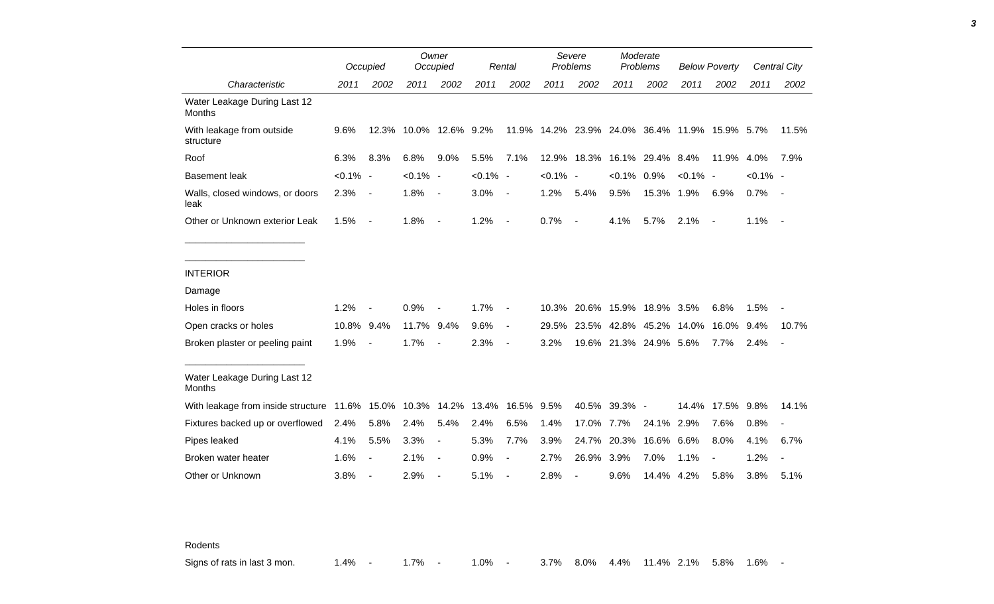|                                                                  |             | Occupied                 |             | Owner<br>Occupied        |             | Rental                   |             | Severe<br>Problems           |                        | Moderate<br>Problems |                                                | <b>Below Poverty</b> |             | Central City             |
|------------------------------------------------------------------|-------------|--------------------------|-------------|--------------------------|-------------|--------------------------|-------------|------------------------------|------------------------|----------------------|------------------------------------------------|----------------------|-------------|--------------------------|
| Characteristic                                                   | 2011        | 2002                     | 2011        | 2002                     | 2011        | 2002                     | 2011        | 2002                         | 2011                   | 2002                 | 2011                                           | 2002                 | 2011        | 2002                     |
| Water Leakage During Last 12<br>Months                           |             |                          |             |                          |             |                          |             |                              |                        |                      |                                                |                      |             |                          |
| With leakage from outside<br>structure                           | 9.6%        | 12.3%                    |             | 10.0% 12.6% 9.2%         |             |                          |             |                              |                        |                      | 11.9% 14.2% 23.9% 24.0% 36.4% 11.9% 15.9% 5.7% |                      |             | 11.5%                    |
| Roof                                                             | 6.3%        | 8.3%                     | 6.8%        | 9.0%                     | 5.5%        | 7.1%                     |             | 12.9% 18.3%                  |                        | 16.1% 29.4% 8.4%     |                                                | 11.9%                | 4.0%        | 7.9%                     |
| <b>Basement leak</b>                                             | $< 0.1\%$ - |                          | $< 0.1\%$ - |                          | $< 0.1\%$ - |                          | $< 0.1\%$ - |                              | $< 0.1\%$ 0.9%         |                      | $< 0.1\%$ -                                    |                      | $< 0.1\%$ - |                          |
| Walls, closed windows, or doors<br>leak                          | 2.3%        | $\overline{\phantom{a}}$ | 1.8%        | $\overline{\phantom{a}}$ | 3.0%        | $\overline{\phantom{a}}$ | 1.2%        | 5.4%                         | 9.5%                   | 15.3% 1.9%           |                                                | 6.9%                 | 0.7%        | $\sim$                   |
| Other or Unknown exterior Leak                                   | 1.5%        | $\sim$                   | 1.8%        | $\blacksquare$           | 1.2%        | $\overline{\phantom{a}}$ | 0.7%        | $\overline{\phantom{a}}$     | 4.1%                   | 5.7%                 | 2.1%                                           | $\sim$               | 1.1%        | $\sim$                   |
| <b>INTERIOR</b>                                                  |             |                          |             |                          |             |                          |             |                              |                        |                      |                                                |                      |             |                          |
| Damage                                                           |             |                          |             |                          |             |                          |             |                              |                        |                      |                                                |                      |             |                          |
| Holes in floors                                                  | 1.2%        | $\overline{\phantom{a}}$ | 0.9%        | $\overline{a}$           | 1.7%        | $\blacksquare$           |             | 10.3% 20.6% 15.9% 18.9% 3.5% |                        |                      |                                                | 6.8%                 | 1.5%        |                          |
| Open cracks or holes                                             | 10.8% 9.4%  |                          | 11.7% 9.4%  |                          | 9.6%        | $\blacksquare$           | 29.5%       |                              | 23.5% 42.8% 45.2%      |                      | 14.0%                                          | 16.0%                | $9.4\%$     | 10.7%                    |
| Broken plaster or peeling paint                                  | 1.9%        | $\blacksquare$           | 1.7%        | $\overline{\phantom{a}}$ | 2.3%        | $\overline{\phantom{a}}$ | 3.2%        |                              | 19.6% 21.3% 24.9% 5.6% |                      |                                                | 7.7%                 | 2.4%        | $\overline{\phantom{a}}$ |
| Water Leakage During Last 12<br>Months                           |             |                          |             |                          |             |                          |             |                              |                        |                      |                                                |                      |             |                          |
| With leakage from inside structure 11.6% 15.0% 10.3% 14.2% 13.4% |             |                          |             |                          |             | 16.5% 9.5%               |             |                              | 40.5% 39.3% -          |                      | 14.4%                                          | 17.5% 9.8%           |             | 14.1%                    |
| Fixtures backed up or overflowed                                 | 2.4%        | 5.8%                     | 2.4%        | 5.4%                     | 2.4%        | 6.5%                     | 1.4%        | 17.0%                        | 7.7%                   | 24.1%                | 2.9%                                           | 7.6%                 | 0.8%        | $\overline{\phantom{a}}$ |
| Pipes leaked                                                     | 4.1%        | 5.5%                     | 3.3%        | $\overline{\phantom{a}}$ | 5.3%        | 7.7%                     | 3.9%        | 24.7%                        | 20.3%                  | 16.6%                | 6.6%                                           | 8.0%                 | 4.1%        | 6.7%                     |
| Broken water heater                                              | 1.6%        | $\overline{\phantom{a}}$ | 2.1%        | $\blacksquare$           | 0.9%        |                          | 2.7%        | 26.9%                        | 3.9%                   | 7.0%                 | 1.1%                                           |                      | 1.2%        | $\overline{\phantom{a}}$ |
| Other or Unknown                                                 | 3.8%        | $\blacksquare$           | 2.9%        | $\blacksquare$           | 5.1%        |                          | 2.8%        | $\overline{\phantom{a}}$     | 9.6%                   | 14.4%                | 4.2%                                           | 5.8%                 | 3.8%        | 5.1%                     |

Rodents

Signs of rats in last 3 mon. 4.4% - 1.7% - 1.0% - 3.7% 8.0% 4.4% 11.4% 2.1% 5.8% 1.6% -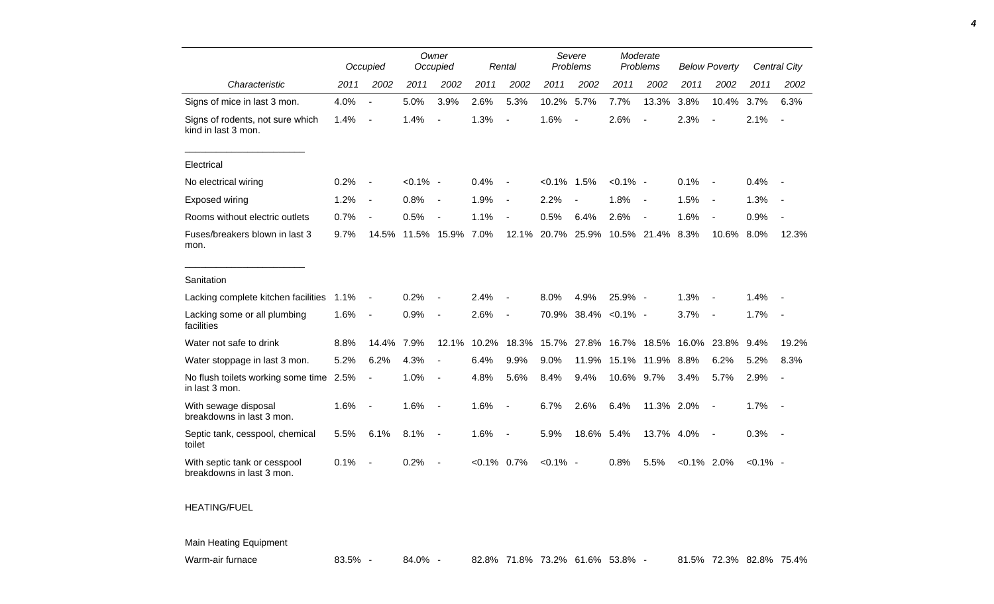|                                                           |      | Occupied                 |             | Owner<br>Occupied        |           | Rental                       |                | Severe<br>Problems       |             | Moderate<br>Problems     |                | <b>Below Poverty</b>     |             | <b>Central City</b>      |
|-----------------------------------------------------------|------|--------------------------|-------------|--------------------------|-----------|------------------------------|----------------|--------------------------|-------------|--------------------------|----------------|--------------------------|-------------|--------------------------|
| Characteristic                                            | 2011 | 2002                     | 2011        | 2002                     | 2011      | 2002                         | 2011           | 2002                     | 2011        | 2002                     | 2011           | 2002                     | 2011        | 2002                     |
| Signs of mice in last 3 mon.                              | 4.0% |                          | 5.0%        | 3.9%                     | 2.6%      | 5.3%                         | 10.2%          | 5.7%                     | 7.7%        | 13.3%                    | 3.8%           | 10.4%                    | 3.7%        | 6.3%                     |
| Signs of rodents, not sure which<br>kind in last 3 mon.   | 1.4% | $\blacksquare$           | 1.4%        | $\overline{a}$           | 1.3%      | $\blacksquare$               | 1.6%           | $\overline{\phantom{a}}$ | 2.6%        | $\overline{a}$           | 2.3%           | $\blacksquare$           | 2.1%        | $\overline{\phantom{a}}$ |
| Electrical                                                |      |                          |             |                          |           |                              |                |                          |             |                          |                |                          |             |                          |
| No electrical wiring                                      | 0.2% | $\blacksquare$           | $< 0.1\%$ - |                          | 0.4%      | $\blacksquare$               | $< 0.1\%$ 1.5% |                          | $< 0.1\%$ - |                          | 0.1%           | $\overline{\phantom{a}}$ | 0.4%        |                          |
| Exposed wiring                                            | 1.2% | $\blacksquare$           | 0.8%        | $\overline{\phantom{a}}$ | 1.9%      | $\blacksquare$               | 2.2%           |                          | 1.8%        | $\overline{\phantom{a}}$ | 1.5%           | $\overline{\phantom{a}}$ | 1.3%        |                          |
| Rooms without electric outlets                            | 0.7% | $\overline{\phantom{a}}$ | 0.5%        | $\overline{\phantom{a}}$ | 1.1%      | $\blacksquare$               | 0.5%           | 6.4%                     | 2.6%        | $\overline{\phantom{a}}$ | 1.6%           | $\overline{\phantom{a}}$ | 0.9%        |                          |
| Fuses/breakers blown in last 3<br>mon.                    | 9.7% | 14.5%                    |             | 11.5% 15.9%              | 7.0%      | 12.1%                        | 20.7%          | 25.9%                    |             | 10.5% 21.4%              | 8.3%           | 10.6%                    | 8.0%        | 12.3%                    |
| Sanitation                                                |      |                          |             |                          |           |                              |                |                          |             |                          |                |                          |             |                          |
| Lacking complete kitchen facilities                       | 1.1% | $\blacksquare$           | 0.2%        | ÷,                       | 2.4%      | $\blacksquare$               | 8.0%           | 4.9%                     | 25.9% -     |                          | 1.3%           | $\overline{\phantom{a}}$ | 1.4%        |                          |
| Lacking some or all plumbing<br>facilities                | 1.6% | $\overline{\phantom{a}}$ | 0.9%        | $\blacksquare$           | 2.6%      | $\qquad \qquad \blacksquare$ |                | 70.9% 38.4% < 0.1% -     |             |                          | 3.7%           | $\overline{\phantom{a}}$ | 1.7%        | $\sim$                   |
| Water not safe to drink                                   | 8.8% | 14.4%                    | 7.9%        | 12.1%                    | 10.2%     | 18.3%                        | 15.7%          | 27.8%                    | 16.7%       | 18.5%                    | 16.0%          | 23.8%                    | 9.4%        | 19.2%                    |
| Water stoppage in last 3 mon.                             | 5.2% | 6.2%                     | 4.3%        | $\overline{\phantom{a}}$ | 6.4%      | 9.9%                         | 9.0%           | 11.9%                    | 15.1%       | 11.9%                    | 8.8%           | 6.2%                     | 5.2%        | 8.3%                     |
| No flush toilets working some time 2.5%<br>in last 3 mon. |      | $\blacksquare$           | 1.0%        | $\overline{\phantom{a}}$ | 4.8%      | 5.6%                         | 8.4%           | 9.4%                     | 10.6% 9.7%  |                          | 3.4%           | 5.7%                     | 2.9%        |                          |
| With sewage disposal<br>breakdowns in last 3 mon.         | 1.6% | $\blacksquare$           | 1.6%        | $\overline{\phantom{a}}$ | 1.6%      | $\blacksquare$               | 6.7%           | 2.6%                     | 6.4%        | 11.3% 2.0%               |                | $\overline{\phantom{a}}$ | 1.7%        | $\sim$ $-$               |
| Septic tank, cesspool, chemical<br>toilet                 | 5.5% | 6.1%                     | 8.1%        | $\overline{\phantom{a}}$ | 1.6%      | $\blacksquare$               | 5.9%           | 18.6% 5.4%               |             | 13.7% 4.0%               |                | $\overline{\phantom{a}}$ | 0.3%        | $\sim$ $-$               |
| With septic tank or cesspool<br>breakdowns in last 3 mon. | 0.1% |                          | 0.2%        | $\blacksquare$           | $< 0.1\%$ | 0.7%                         | $< 0.1\%$ -    |                          | 0.8%        | 5.5%                     | $< 0.1\%$ 2.0% |                          | $< 0.1\%$ - |                          |
| <b>HEATING/FUEL</b>                                       |      |                          |             |                          |           |                              |                |                          |             |                          |                |                          |             |                          |

Main Heating Equipment

Warm-air furnace **83.5% - 84.0% - 82.8% 71.8% 73.2% 61.6% 53.8% - 81.5% 72.3% 82.8% 75.4%** 

*4*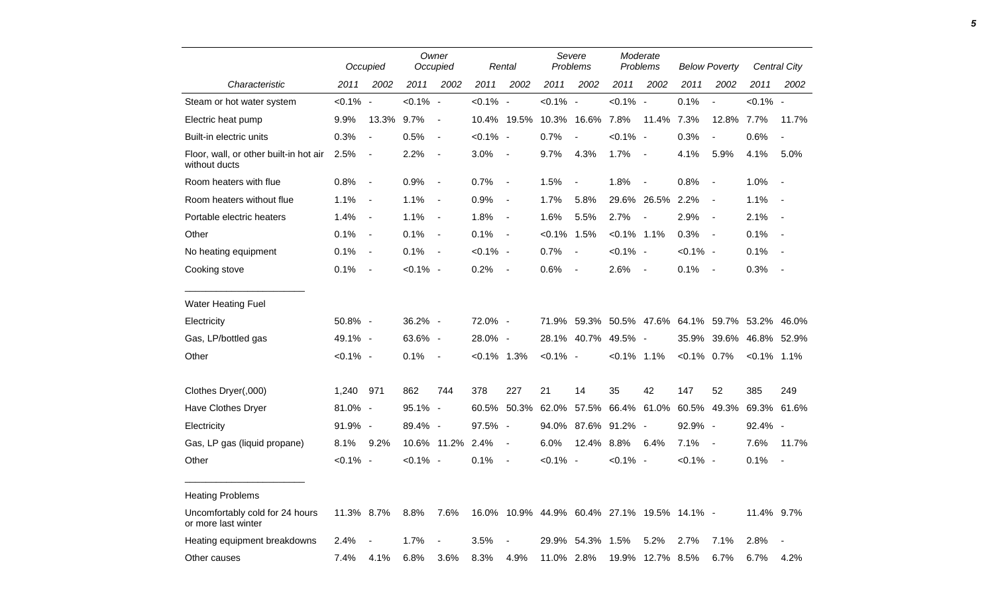|                                                         |             | Occupied                 |             | Owner<br>Occupied        |                | Rental                   |                                             | Severe<br>Problems       |                                                 | Moderate<br>Problems     | <b>Below Poverty</b> |                | Central City   |                |
|---------------------------------------------------------|-------------|--------------------------|-------------|--------------------------|----------------|--------------------------|---------------------------------------------|--------------------------|-------------------------------------------------|--------------------------|----------------------|----------------|----------------|----------------|
| Characteristic                                          | 2011        | 2002                     | 2011        | 2002                     | 2011           | 2002                     | 2011                                        | 2002                     | 2011                                            | 2002                     | 2011                 | 2002           | 2011           | 2002           |
| Steam or hot water system                               | $< 0.1\%$ - |                          | $< 0.1\%$ - |                          | $< 0.1\%$ -    |                          | $< 0.1\%$ -                                 |                          | $< 0.1\%$ -                                     |                          | 0.1%                 | $\blacksquare$ | $< 0.1\%$ -    |                |
| Electric heat pump                                      | 9.9%        | 13.3% 9.7%               |             | $\overline{\phantom{a}}$ |                | 10.4% 19.5%              | 10.3% 16.6%                                 |                          | 7.8%                                            | 11.4% 7.3%               |                      | 12.8%          | 7.7%           | 11.7%          |
| Built-in electric units                                 | 0.3%        | $\overline{\phantom{a}}$ | 0.5%        | $\overline{\phantom{a}}$ | $< 0.1\%$ -    |                          | 0.7%                                        | $\blacksquare$           | $< 0.1\%$ -                                     |                          | 0.3%                 | $\blacksquare$ | 0.6%           | $\blacksquare$ |
| Floor, wall, or other built-in hot air<br>without ducts | 2.5%        | $\blacksquare$           | 2.2%        | $\overline{\phantom{a}}$ | 3.0%           | $\overline{\phantom{a}}$ | 9.7%                                        | 4.3%                     | 1.7%                                            | $\sim$ $-$               | 4.1%                 | 5.9%           | 4.1%           | 5.0%           |
| Room heaters with flue                                  | 0.8%        | $\sim$                   | 0.9%        | $\sim$ $-$               | 0.7%           | $\blacksquare$           | 1.5%                                        | $\overline{\phantom{a}}$ | 1.8%                                            | $\sim$                   | 0.8%                 | $\blacksquare$ | 1.0%           | $\sim$         |
| Room heaters without flue                               | 1.1%        | $\blacksquare$           | 1.1%        | $\sim$                   | 0.9%           | $\blacksquare$           | 1.7%                                        | 5.8%                     |                                                 | 29.6% 26.5%              | 2.2%                 | $\blacksquare$ | 1.1%           | $\sim$         |
| Portable electric heaters                               | 1.4%        | $\blacksquare$           | 1.1%        | $\sim$                   | 1.8%           | $\blacksquare$           | 1.6%                                        | 5.5%                     | 2.7%                                            | $\overline{\phantom{a}}$ | 2.9%                 | $\blacksquare$ | 2.1%           | $\sim$ $-$     |
| Other                                                   | 0.1%        | $\overline{\phantom{a}}$ | 0.1%        | $\sim$ $-$               | 0.1%           | $\sim$ $-$               | $< 0.1\%$ 1.5%                              |                          | $< 0.1\%$ 1.1%                                  |                          | 0.3%                 | $\blacksquare$ | 0.1%           | $\sim$ $-$     |
| No heating equipment                                    | 0.1%        | $\overline{\phantom{a}}$ | 0.1%        | $\sim$ $-$               | $< 0.1\%$ -    |                          | 0.7%                                        | $\sim$ $-$               | $< 0.1\%$ -                                     |                          | $< 0.1\%$ -          |                | 0.1%           | $\sim$ $-$     |
| Cooking stove                                           | 0.1%        | $\sim$ $-$               | $< 0.1\%$ - |                          | $0.2\%$ -      |                          | 0.6%                                        | $\sim$ $-$               | 2.6%                                            | $\sim$                   | 0.1%                 | $\sim$ $-$     | 0.3%           | $\sim$ $-$     |
| <b>Water Heating Fuel</b>                               |             |                          |             |                          |                |                          |                                             |                          |                                                 |                          |                      |                |                |                |
| Electricity                                             | 50.8% -     |                          | 36.2% -     |                          | 72.0% -        |                          |                                             |                          | 71.9% 59.3% 50.5% 47.6% 64.1% 59.7% 53.2% 46.0% |                          |                      |                |                |                |
| Gas, LP/bottled gas                                     | 49.1% -     |                          | 63.6% -     |                          | 28.0% -        |                          |                                             |                          | 28.1% 40.7% 49.5% -                             |                          |                      | 35.9% 39.6%    | 46.8% 52.9%    |                |
| Other                                                   | $< 0.1\%$ - |                          | 0.1%        | $\sim$ $-$               | $< 0.1\%$ 1.3% |                          | $< 0.1\%$ -                                 |                          | $< 0.1\%$ 1.1%                                  |                          | $< 0.1\%$ 0.7%       |                | $< 0.1\%$ 1.1% |                |
| Clothes Dryer(,000)                                     | 1,240 971   |                          | 862         | 744                      | 378            | 227                      | 21                                          | 14                       | 35                                              | 42                       | 147                  | 52             | 385            | 249            |
| Have Clothes Dryer                                      | 81.0% -     |                          | 95.1% -     |                          | 60.5%          | 50.3%                    | 62.0%                                       |                          | 57.5% 66.4% 61.0%                               |                          |                      | 60.5% 49.3%    |                | 69.3% 61.6%    |
| Electricity                                             | 91.9% -     |                          | 89.4% -     |                          | 97.5% -        |                          |                                             |                          | 94.0% 87.6% 91.2% -                             |                          | 92.9% -              |                | 92.4% -        |                |
| Gas, LP gas (liquid propane)                            | 8.1%        | 9.2%                     |             | 10.6% 11.2%              | 2.4%           | $\blacksquare$           | 6.0%                                        | 12.4% 8.8%               |                                                 | 6.4%                     | 7.1%                 | $\sim$         | 7.6%           | 11.7%          |
| Other                                                   | $< 0.1\%$ - |                          | $< 0.1\%$ - |                          | 0.1%           | $\overline{\phantom{a}}$ | $< 0.1\%$ -                                 |                          | $< 0.1\%$ -                                     |                          | $< 0.1\%$ -          |                | 0.1%           | $\sim$ $-$     |
| <b>Heating Problems</b>                                 |             |                          |             |                          |                |                          |                                             |                          |                                                 |                          |                      |                |                |                |
| Uncomfortably cold for 24 hours<br>or more last winter  | 11.3% 8.7%  |                          | 8.8%        | 7.6%                     |                |                          | 16.0% 10.9% 44.9% 60.4% 27.1% 19.5% 14.1% - |                          |                                                 |                          |                      |                | 11.4% 9.7%     |                |
| Heating equipment breakdowns                            | 2.4%        | $\overline{\phantom{a}}$ | 1.7%        | $\blacksquare$           | 3.5%           | $\blacksquare$           |                                             | 29.9% 54.3% 1.5%         |                                                 | 5.2%                     | 2.7%                 | 7.1%           | 2.8%           | $\sim$         |
| Other causes                                            | 7.4%        | 4.1%                     | 6.8%        | 3.6%                     | 8.3%           | 4.9%                     | 11.0% 2.8%                                  |                          |                                                 | 19.9% 12.7% 8.5%         |                      | 6.7%           | 6.7%           | 4.2%           |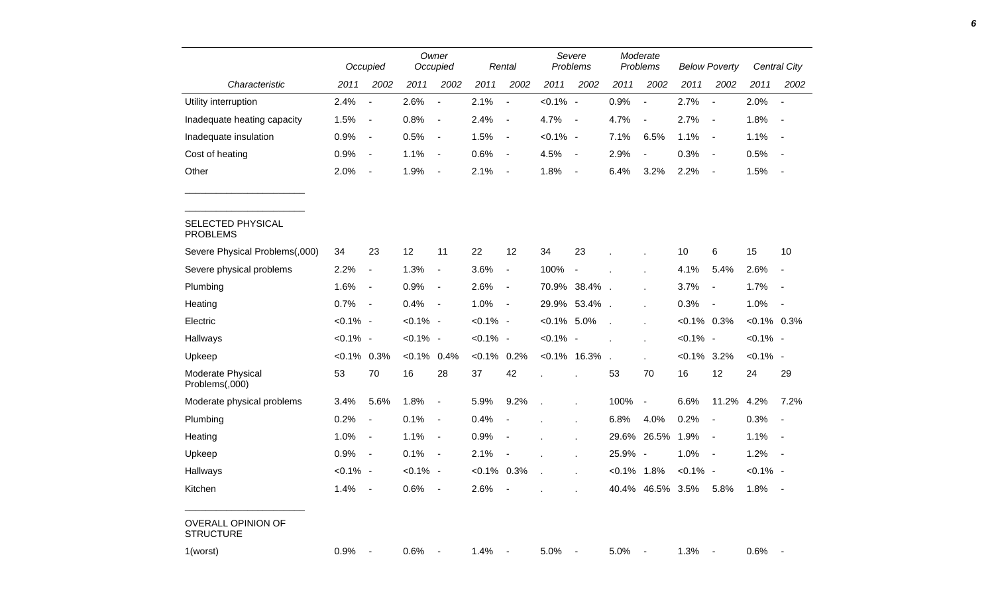|                                               | Owner<br>Occupied<br>Occupied |                              |             |                              | Rental         |                          | Severe<br>Problems | Moderate<br>Problems     |                | <b>Below Poverty</b>     |                |                          | <b>Central City</b> |                          |
|-----------------------------------------------|-------------------------------|------------------------------|-------------|------------------------------|----------------|--------------------------|--------------------|--------------------------|----------------|--------------------------|----------------|--------------------------|---------------------|--------------------------|
| Characteristic                                | 2011                          | 2002                         | 2011        | 2002                         | 2011           | 2002                     | 2011               | 2002                     | 2011           | 2002                     | 2011           | 2002                     | 2011                | 2002                     |
| Utility interruption                          | 2.4%                          | $\overline{a}$               | 2.6%        | $\overline{\phantom{a}}$     | 2.1%           | $\overline{\phantom{a}}$ | $< 0.1\%$ -        |                          | 0.9%           | $\overline{\phantom{a}}$ | 2.7%           | $\overline{\phantom{a}}$ | 2.0%                | $\overline{\phantom{a}}$ |
| Inadequate heating capacity                   | 1.5%                          | $\overline{\phantom{a}}$     | 0.8%        | $\blacksquare$               | 2.4%           | $\blacksquare$           | 4.7%               | $\overline{\phantom{a}}$ | 4.7%           | $\overline{\phantom{a}}$ | 2.7%           | $\overline{\phantom{a}}$ | 1.8%                | $\sim$                   |
| Inadequate insulation                         | 0.9%                          | $\overline{\phantom{a}}$     | 0.5%        | $\blacksquare$               | 1.5%           | $\blacksquare$           | $< 0.1\%$ -        |                          | 7.1%           | 6.5%                     | 1.1%           | $\overline{\phantom{a}}$ | 1.1%                | $\sim$                   |
| Cost of heating                               | 0.9%                          | $\overline{\phantom{a}}$     | 1.1%        | $\blacksquare$               | 0.6%           | $\blacksquare$           | 4.5%               | $\blacksquare$           | 2.9%           | $\overline{\phantom{a}}$ | 0.3%           | $\sim$                   | 0.5%                | $\sim$                   |
| Other                                         | 2.0%                          | $\overline{\phantom{a}}$     | 1.9%        | $\overline{\phantom{a}}$     | 2.1%           | $\blacksquare$           | 1.8%               | $\blacksquare$           | 6.4%           | 3.2%                     | 2.2%           | $\overline{\phantom{a}}$ | 1.5%                |                          |
| SELECTED PHYSICAL<br><b>PROBLEMS</b>          |                               |                              |             |                              |                |                          |                    |                          |                |                          |                |                          |                     |                          |
| Severe Physical Problems(,000)                | 34                            | 23                           | 12          | 11                           | 22             | 12                       | 34                 | 23                       |                |                          | 10             | 6                        | 15                  | 10                       |
| Severe physical problems                      | 2.2%                          | $\qquad \qquad \blacksquare$ | 1.3%        | $\overline{\phantom{0}}$     | 3.6%           | $\overline{\phantom{a}}$ | 100%               | $\blacksquare$           |                | ä,                       | 4.1%           | 5.4%                     | 2.6%                | $\blacksquare$           |
| Plumbing                                      | 1.6%                          | $\blacksquare$               | 0.9%        | $\overline{\phantom{a}}$     | 2.6%           | $\blacksquare$           |                    | 70.9% 38.4%.             |                | ä,                       | 3.7%           | $\blacksquare$           | 1.7%                | $\overline{\phantom{a}}$ |
| Heating                                       | 0.7%                          | $\overline{\phantom{a}}$     | 0.4%        | $\blacksquare$               | 1.0%           | $\blacksquare$           |                    | 29.9% 53.4%.             |                | ä.                       | 0.3%           | $\overline{\phantom{a}}$ | 1.0%                | $\overline{\phantom{a}}$ |
| Electric                                      | $< 0.1\%$ -                   |                              | $< 0.1\%$ - |                              | $< 0.1\%$ -    |                          | $< 0.1\%$ 5.0%     |                          |                |                          | $< 0.1\%$ 0.3% |                          | $< 0.1\%$ 0.3%      |                          |
| Hallways                                      | $< 0.1\%$ -                   |                              | $< 0.1\%$ - |                              | $< 0.1\%$ -    |                          | $< 0.1\%$ -        |                          |                |                          | $< 0.1\%$ -    |                          | $< 0.1\%$ -         |                          |
| Upkeep                                        | $< 0.1\%$ 0.3%                |                              | $< 0.1\%$   | 0.4%                         | $< 0.1\%$      | 0.2%                     |                    | $< 0.1\%$ 16.3%          |                |                          | $< 0.1\%$ 3.2% |                          | $< 0.1\%$ -         |                          |
| Moderate Physical<br>Problems(,000)           | 53                            | 70                           | 16          | 28                           | 37             | 42                       |                    |                          | 53             | 70                       | 16             | 12                       | 24                  | 29                       |
| Moderate physical problems                    | 3.4%                          | 5.6%                         | 1.8%        | $\qquad \qquad \blacksquare$ | 5.9%           | 9.2%                     |                    |                          | 100%           | $\blacksquare$           | 6.6%           | 11.2%                    | 4.2%                | 7.2%                     |
| Plumbing                                      | 0.2%                          | $\overline{a}$               | 0.1%        | $\overline{\phantom{a}}$     | 0.4%           |                          |                    |                          | 6.8%           | 4.0%                     | 0.2%           | $\blacksquare$           | 0.3%                | $\overline{\phantom{a}}$ |
| Heating                                       | 1.0%                          | $\overline{\phantom{a}}$     | 1.1%        | $\blacksquare$               | 0.9%           | $\overline{\phantom{a}}$ |                    |                          | 29.6%          | 26.5%                    | 1.9%           | $\sim$                   | 1.1%                | $\sim$                   |
| Upkeep                                        | 0.9%                          | $\overline{\phantom{a}}$     | 0.1%        | $\blacksquare$               | 2.1%           |                          |                    |                          | 25.9% -        |                          | 1.0%           | $\sim$                   | 1.2%                |                          |
| Hallways                                      | $< 0.1\%$ -                   |                              | $< 0.1\%$ - |                              | $< 0.1\%$ 0.3% |                          |                    |                          | $< 0.1\%$ 1.8% |                          | $< 0.1\%$ -    |                          | $< 0.1\%$ -         |                          |
| Kitchen                                       | 1.4%                          | $\blacksquare$               | 0.6%        | $\blacksquare$               | 2.6%           | $\overline{\phantom{a}}$ |                    |                          |                | 40.4% 46.5% 3.5%         |                | 5.8%                     | 1.8% -              |                          |
| <b>OVERALL OPINION OF</b><br><b>STRUCTURE</b> |                               |                              |             |                              |                |                          |                    |                          |                |                          |                |                          |                     |                          |
| 1(worst)                                      | 0.9%                          | $\blacksquare$               | 0.6%        | $\sim$ $-$                   | 1.4%           |                          | 5.0%               |                          | 5.0%           |                          | 1.3%           |                          | $0.6\%$ -           |                          |